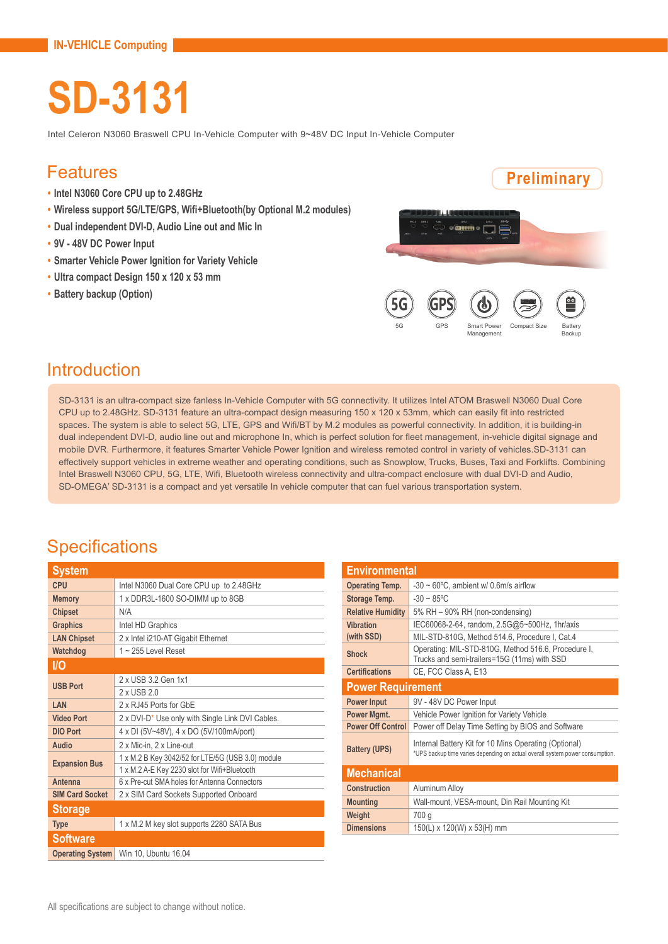# **SD-3131**

Intel Celeron N3060 Braswell CPU In-Vehicle Computer with 9~48V DC Input In-Vehicle Computer

#### Features

- **• Intel N3060 Core CPU up to 2.48GHz**
- **• Wireless support 5G/LTE/GPS, Wifi+Bluetooth(by Optional M.2 modules)**
- **• Dual independent DVI-D, Audio Line out and Mic In**
- **• 9V 48V DC Power Input**
- **• Smarter Vehicle Power Ignition for Variety Vehicle**
- **• Ultra compact Design 150 x 120 x 53 mm**
- **• Battery backup (Option)**



#### Introduction

SD-3131 is an ultra-compact size fanless In-Vehicle Computer with 5G connectivity. It utilizes Intel ATOM Braswell N3060 Dual Core CPU up to 2.48GHz. SD-3131 feature an ultra-compact design measuring 150 x 120 x 53mm, which can easily fit into restricted spaces. The system is able to select 5G, LTE, GPS and Wifi/BT by M.2 modules as powerful connectivity. In addition, it is building-in dual independent DVI-D, audio line out and microphone In, which is perfect solution for fleet management, in-vehicle digital signage and mobile DVR. Furthermore, it features Smarter Vehicle Power Ignition and wireless remoted control in variety of vehicles.SD-3131 can effectively support vehicles in extreme weather and operating conditions, such as Snowplow, Trucks, Buses, Taxi and Forklifts. Combining Intel Braswell N3060 CPU, 5G, LTE, Wifi, Bluetooth wireless connectivity and ultra-compact enclosure with dual DVI-D and Audio, SD-OMEGA' SD-3131 is a compact and yet versatile In vehicle computer that can fuel various transportation system.

#### **Specifications**

| System                  |                                                              |  |
|-------------------------|--------------------------------------------------------------|--|
| <b>CPU</b>              | Intel N3060 Dual Core CPU up to 2.48GHz                      |  |
| <b>Memory</b>           | 1 x DDR3L-1600 SO-DIMM up to 8GB                             |  |
| <b>Chipset</b>          | N/A                                                          |  |
| <b>Graphics</b>         | Intel HD Graphics                                            |  |
| <b>LAN Chipset</b>      | 2 x Intel i210-AT Gigabit Ethernet                           |  |
| Watchdog                | $1 - 255$ Level Reset                                        |  |
| <b>I/O</b>              |                                                              |  |
| <b>USB Port</b>         | 2 x USB 3.2 Gen 1x1                                          |  |
|                         | $2x$ USB $20$                                                |  |
| LAN                     | 2 x RJ45 Ports for GbF                                       |  |
| <b>Video Port</b>       | 2 x DVI-D <sup>*</sup> Use only with Single Link DVI Cables. |  |
| <b>DIO Port</b>         | 4 x DI (5V~48V), 4 x DO (5V/100mA/port)                      |  |
| Audio                   | 2 x Mic-in, 2 x Line-out                                     |  |
| <b>Expansion Bus</b>    | 1 x M.2 B Key 3042/52 for LTE/5G (USB 3.0) module            |  |
|                         | 1 x M.2 A-E Key 2230 slot for Wifi+Bluetooth                 |  |
| Antenna                 | 6 x Pre-cut SMA holes for Antenna Connectors                 |  |
| <b>SIM Card Socket</b>  | 2 x SIM Card Sockets Supported Onboard                       |  |
| <b>Storage</b>          |                                                              |  |
| <b>Type</b>             | 1 x M.2 M key slot supports 2280 SATA Bus                    |  |
| <b>Software</b>         |                                                              |  |
| <b>Operating System</b> | Win 10, Ubuntu 16.04                                         |  |

| <b>Environmental</b>     |                                                                                                                                        |  |
|--------------------------|----------------------------------------------------------------------------------------------------------------------------------------|--|
| <b>Operating Temp.</b>   | $-30 \sim 60^{\circ}$ C, ambient w/ 0.6m/s airflow                                                                                     |  |
| Storage Temp.            | $-30 \sim 85^{\circ}$ C                                                                                                                |  |
| <b>Relative Humidity</b> | 5% RH - 90% RH (non-condensing)                                                                                                        |  |
| <b>Vibration</b>         | IEC60068-2-64, random, 2.5G@5~500Hz, 1hr/axis                                                                                          |  |
| (with SSD)               | MIL-STD-810G, Method 514.6, Procedure I, Cat.4                                                                                         |  |
| <b>Shock</b>             | Operating: MIL-STD-810G, Method 516.6, Procedure I,<br>Trucks and semi-trailers=15G (11ms) with SSD                                    |  |
| <b>Certifications</b>    | CE, FCC Class A, E13                                                                                                                   |  |
| <b>Power Requirement</b> |                                                                                                                                        |  |
| <b>Power Input</b>       | 9V - 48V DC Power Input                                                                                                                |  |
| Power Mgmt.              | Vehicle Power Ignition for Variety Vehicle                                                                                             |  |
| <b>Power Off Control</b> | Power off Delay Time Setting by BIOS and Software                                                                                      |  |
| <b>Battery (UPS)</b>     | Internal Battery Kit for 10 Mins Operating (Optional)<br>*UPS backup time varies depending on actual overall system power consumption. |  |
| <b>Mechanical</b>        |                                                                                                                                        |  |
| <b>Construction</b>      | Aluminum Alloy                                                                                                                         |  |
| <b>Mounting</b>          | Wall-mount, VESA-mount, Din Rail Mounting Kit                                                                                          |  |
| Weight                   | 700 g                                                                                                                                  |  |
| <b>Dimensions</b>        | 150(L) x 120(W) x 53(H) mm                                                                                                             |  |